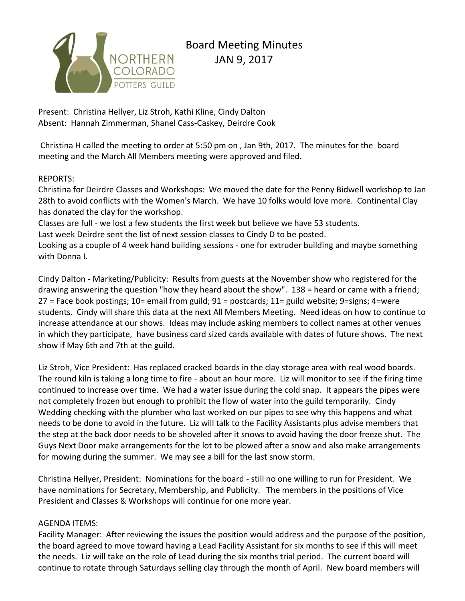

## Board Meeting Minutes JAN 9, 2017

Present: Christina Hellyer, Liz Stroh, Kathi Kline, Cindy Dalton Absent: Hannah Zimmerman, Shanel Cass-Caskey, Deirdre Cook

Christina H called the meeting to order at 5:50 pm on , Jan 9th, 2017. The minutes for the board meeting and the March All Members meeting were approved and filed.

## REPORTS:

Christina for Deirdre Classes and Workshops: We moved the date for the Penny Bidwell workshop to Jan 28th to avoid conflicts with the Women's March. We have 10 folks would love more. Continental Clay has donated the clay for the workshop.

Classes are full - we lost a few students the first week but believe we have 53 students.

Last week Deirdre sent the list of next session classes to Cindy D to be posted.

Looking as a couple of 4 week hand building sessions - one for extruder building and maybe something with Donna I.

Cindy Dalton - Marketing/Publicity: Results from guests at the November show who registered for the drawing answering the question "how they heard about the show". 138 = heard or came with a friend; 27 = Face book postings; 10= email from guild; 91 = postcards; 11= guild website; 9=signs; 4=were students. Cindy will share this data at the next All Members Meeting. Need ideas on how to continue to increase attendance at our shows. Ideas may include asking members to collect names at other venues in which they participate, have business card sized cards available with dates of future shows. The next show if May 6th and 7th at the guild.

Liz Stroh, Vice President: Has replaced cracked boards in the clay storage area with real wood boards. The round kiln is taking a long time to fire - about an hour more. Liz will monitor to see if the firing time continued to increase over time. We had a water issue during the cold snap. It appears the pipes were not completely frozen but enough to prohibit the flow of water into the guild temporarily. Cindy Wedding checking with the plumber who last worked on our pipes to see why this happens and what needs to be done to avoid in the future. Liz will talk to the Facility Assistants plus advise members that the step at the back door needs to be shoveled after it snows to avoid having the door freeze shut. The Guys Next Door make arrangements for the lot to be plowed after a snow and also make arrangements for mowing during the summer. We may see a bill for the last snow storm.

Christina Hellyer, President: Nominations for the board - still no one willing to run for President. We have nominations for Secretary, Membership, and Publicity. The members in the positions of Vice President and Classes & Workshops will continue for one more year.

## AGENDA ITEMS:

Facility Manager: After reviewing the issues the position would address and the purpose of the position, the board agreed to move toward having a Lead Facility Assistant for six months to see if this will meet the needs. Liz will take on the role of Lead during the six months trial period. The current board will continue to rotate through Saturdays selling clay through the month of April. New board members will